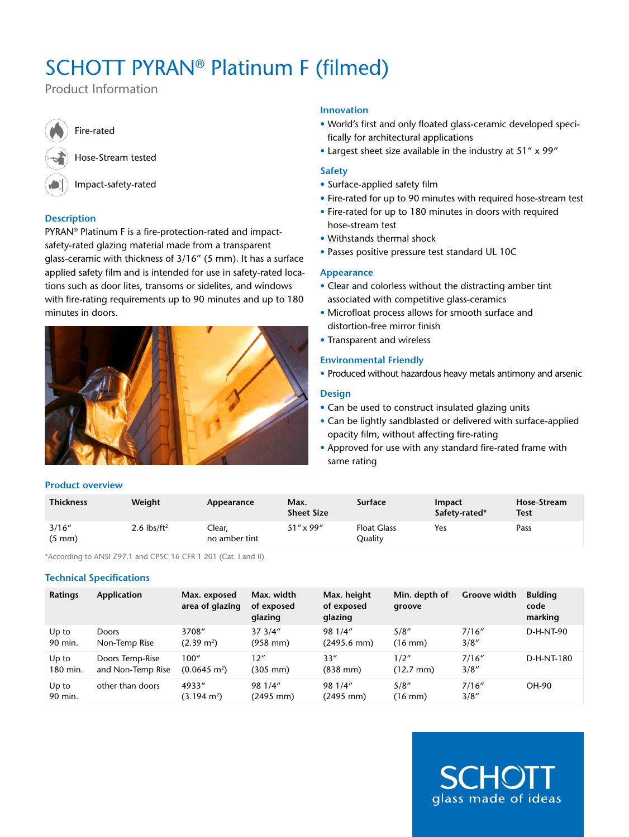# SCHOTT PYRAN® Platinum F (filmed)

Product Information

Fire-rated

Hose-Stream tested

Impact-safety-rated

# **Description**

PYRAN® Platinum F is a fire-protection-rated and impactsafety-rated glazing material made from a transparent glass-ceramic with thickness of 3/16" (5 mm). It has a surface applied safety film and is intended for use in safety-rated locations such as door lites, transoms or sidelites, and windows with fire-rating requirements up to 90 minutes and up to 180 minutes in doors.



# **Innovation**

- • World's first and only floated glass-ceramic developed specifically for architectural applications
- Largest sheet size available in the industry at 51" x 99"

# **Safety**

- Surface-applied safety film
- Fire-rated for up to 90 minutes with required hose-stream test
- Fire-rated for up to 180 minutes in doors with required hose-stream test
- • Withstands thermal shock
- Passes positive pressure test standard UL 10C

# **Appearance**

- Clear and colorless without the distracting amber tint associated with competitive glass-ceramics
- • Microfloat process allows for smooth surface and distortion-free mirror finish
- Transparent and wireless

# **Environmental Friendly**

• Produced without hazardous heavy metals antimony and arsenic

# **Design**

- Can be used to construct insulated glazing units
- Can be lightly sandblasted or delivered with surface-applied opacity film, without affecting fire-rating
- Approved for use with any standard fire-rated frame with same rating

| <b>Product overview</b> |
|-------------------------|
|                         |

| <b>Thickness</b>           | Weight                               | Appearance              | Max.<br><b>Sheet Size</b> | <b>Surface</b>                | Impact<br>Safety-rated* | Hose-Stream<br><b>Test</b> |
|----------------------------|--------------------------------------|-------------------------|---------------------------|-------------------------------|-------------------------|----------------------------|
| 3/16''<br>$(5 \text{ mm})$ | 2.6 $\frac{\text{lbs}}{\text{ft}^2}$ | Clear,<br>no amber tint | $51''$ x 99"              | <b>Float Glass</b><br>Quality | Yes                     | Pass                       |

\*According to ANSI Z97.1 and CPSC 16 CFR 1 201 (Cat. I and II).

# **Technical Specifications**

| Ratings          | Application       | Max. exposed<br>area of glazing | Max. width<br>of exposed<br>glazing | Max. height<br>of exposed<br>glazing | Min. depth of<br>groove    | <b>Groove width</b> | <b>Bulding</b><br>code<br>marking |
|------------------|-------------------|---------------------------------|-------------------------------------|--------------------------------------|----------------------------|---------------------|-----------------------------------|
| Up to            | <b>Doors</b>      | 3708"                           | 373/4''                             | 98 1/4"                              | 5/8''                      | 7/16''              | D-H-NT-90                         |
| 90 min.          | Non-Temp Rise     | $(2.39 \text{ m}^2)$            | $(958 \text{ mm})$                  | $(2495.6 \text{ mm})$                | $(16$ mm $)$               | 3/8''               |                                   |
| Up to            | Doors Temp-Rise   | 100''                           | 12"                                 | 33''                                 | 1/2"                       | 7/16''              | D-H-NT-180                        |
| 180 min.         | and Non-Temp Rise | $(0.0645 \text{ m}^2)$          | (305 mm)                            | $(838 \, \text{mm})$                 | $(12.7 \text{ mm})$        | 3/8''               |                                   |
| Up to<br>90 min. | other than doors  | 4933"<br>$(3.194 \text{ m}^2)$  | 98 1/4"<br>$(2495$ mm)              | 98 1/4"<br>$(2495 \, \text{mm})$     | 5/8''<br>$(16 \text{ mm})$ | 7/16''<br>3/8''     | OH-90                             |